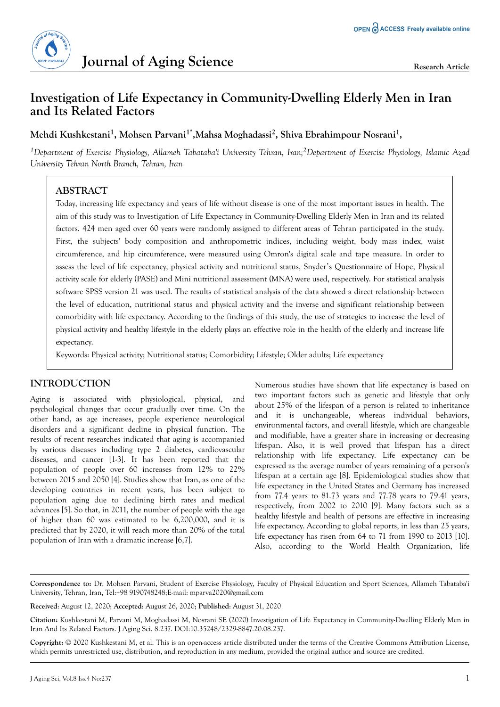

# **Investigation of Life Expectancy in Community-Dwelling Elderly Men in Iran and Its Related Factors**

**Mehdi Kushkestani<sup>1</sup> , Mohsen Parvani1\*,Mahsa Moghadassi<sup>2</sup> , Shiva Ebrahimpour Nosrani<sup>1</sup> ,**

*<sup>1</sup>Department of Exercise Physiology, Allameh Tabataba'i University Tehran, Iran;2Department of Exercise Physiology, Islamic Azad University Tehran North Branch, Tehran, Iran*

## **ABSTRACT**

Today, increasing life expectancy and years of life without disease is one of the most important issues in health. The aim of this study was to Investigation of Life Expectancy in Community-Dwelling Elderly Men in Iran and its related factors. 424 men aged over 60 years were randomly assigned to different areas of Tehran participated in the study. First, the subjects' body composition and anthropometric indices, including weight, body mass index, waist circumference, and hip circumference, were measured using Omron's digital scale and tape measure. In order to assess the level of life expectancy, physical activity and nutritional status, Snyder's Questionnaire of Hope, Physical activity scale for elderly (PASE) and Mini nutritional assessment (MNA) were used, respectively. For statistical analysis software SPSS version 21 was used. The results of statistical analysis of the data showed a direct relationship between the level of education, nutritional status and physical activity and the inverse and significant relationship between comorbidity with life expectancy. According to the findings of this study, the use of strategies to increase the level of physical activity and healthy lifestyle in the elderly plays an effective role in the health of the elderly and increase life expectancy.

Keywords: Physical activity; Nutritional status; Comorbidity; Lifestyle; Older adults; Life expectancy

## **INTRODUCTION**

Aging is associated with physiological, physical, and psychological changes that occur gradually over time. On the other hand, as age increases, people experience neurological disorders and a significant decline in physical function. The results of recent researches indicated that aging is accompanied by various diseases including type 2 diabetes, cardiovascular diseases, and cancer [1-3]. It has been reported that the population of people over 60 increases from 12% to 22% between 2015 and 2050 [4]. Studies show that Iran, as one of the developing countries in recent years, has been subject to population aging due to declining birth rates and medical advances [5]. So that, in 2011, the number of people with the age of higher than 60 was estimated to be 6,200,000, and it is predicted that by 2020, it will reach more than 20% of the total population of Iran with a dramatic increase [6,7].

Numerous studies have shown that life expectancy is based on two important factors such as genetic and lifestyle that only about 25% of the lifespan of a person is related to inheritance and it is unchangeable, whereas individual behaviors, environmental factors, and overall lifestyle, which are changeable and modifiable, have a greater share in increasing or decreasing lifespan. Also, it is well proved that lifespan has a direct relationship with life expectancy. Life expectancy can be expressed as the average number of years remaining of a person's lifespan at a certain age [8]. Epidemiological studies show that life expectancy in the United States and Germany has increased from 77.4 years to 81.73 years and 77.78 years to 79.41 years, respectively, from 2002 to 2010 [9]. Many factors such as a healthy lifestyle and health of persons are effective in increasing life expectancy. According to global reports, in less than 25 years, life expectancy has risen from 64 to 71 from 1990 to 2013 [10]. Also, according to the World Health Organization, life

**Correspondence to:** Dr. Mohsen Parvani, Student of Exercise Physiology, Faculty of Physical Education and Sport Sciences, Allameh Tabataba'i University, Tehran, Iran, Tel:+98 9190748248;E-mail: mparva2020@gmail.com

**Received**: August 12, 2020; **Accepted**: August 26, 2020; **Published**: August 31, 2020

**Citation:** Kushkestani M, Parvani M, Moghadassi M, Nosrani SE (2020) Investigation of Life Expectancy in Community-Dwelling Elderly Men in Iran And Its Related Factors. J Aging Sci. 8:237. DOI:10.35248/2329-8847.20.08.237.

**Copyright:** © 2020 Kushkestani M, et al. This is an open-access article distributed under the terms of the Creative Commons Attribution License, which permits unrestricted use, distribution, and reproduction in any medium, provided the original author and source are credited.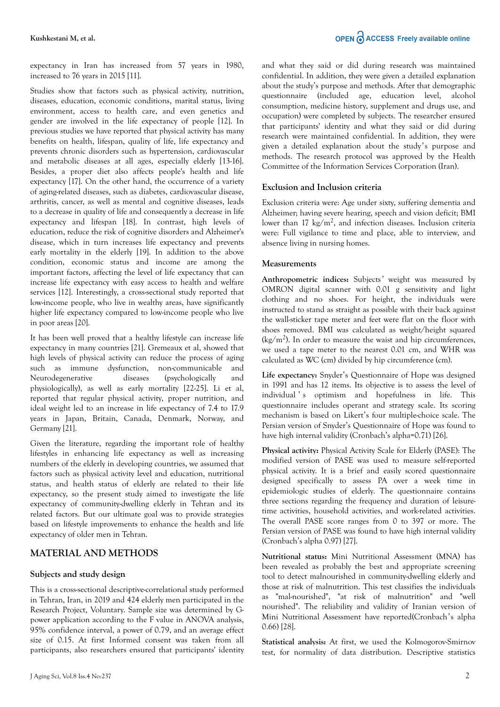expectancy in Iran has increased from 57 years in 1980, increased to 76 years in 2015 [11].

Studies show that factors such as physical activity, nutrition, diseases, education, economic conditions, marital status, living environment, access to health care, and even genetics and gender are involved in the life expectancy of people [12]. In previous studies we have reported that physical activity has many benefits on health, lifespan, quality of life, life expectancy and prevents chronic disorders such as hypertension, cardiovascular and metabolic diseases at all ages, especially elderly [13-16]. Besides, a proper diet also affects people's health and life expectancy [17]. On the other hand, the occurrence of a variety of aging-related diseases, such as diabetes, cardiovascular disease, arthritis, cancer, as well as mental and cognitive diseases, leads to a decrease in quality of life and consequently a decrease in life expectancy and lifespan [18]. In contrast, high levels of education, reduce the risk of cognitive disorders and Alzheimer's disease, which in turn increases life expectancy and prevents early mortality in the elderly [19]. In addition to the above condition, economic status and income are among the important factors, affecting the level of life expectancy that can increase life expectancy with easy access to health and welfare services [12]. Interestingly, a cross-sectional study reported that low-income people, who live in wealthy areas, have significantly higher life expectancy compared to low-income people who live in poor areas [20].

It has been well proved that a healthy lifestyle can increase life expectancy in many countries [21]. Gremeaux et al, showed that high levels of physical activity can reduce the process of aging such as immune dysfunction, non-communicable and Neurodegenerative diseases (psychologically and physiologically), as well as early mortality [22-25]. Li et al, reported that regular physical activity, proper nutrition, and ideal weight led to an increase in life expectancy of 7.4 to 17.9 years in Japan, Britain, Canada, Denmark, Norway, and Germany [21].

Given the literature, regarding the important role of healthy lifestyles in enhancing life expectancy as well as increasing numbers of the elderly in developing countries, we assumed that factors such as physical activity level and education, nutritional status, and health status of elderly are related to their life expectancy, so the present study aimed to investigate the life expectancy of community-dwelling elderly in Tehran and its related factors. But our ultimate goal was to provide strategies based on lifestyle improvements to enhance the health and life expectancy of older men in Tehran.

### **MATERIAL AND METHODS**

#### **Subjects and study design**

This is a cross-sectional descriptive-correlational study performed in Tehran, Iran, in 2019 and 424 elderly men participated in the Research Project, Voluntary. Sample size was determined by Gpower application according to the F value in ANOVA analysis, 95% confidence interval, a power of 0.79, and an average effect size of 0.15. At first Informed consent was taken from all participants, also researchers ensured that participants' identity and what they said or did during research was maintained confidential. In addition, they were given a detailed explanation about the study's purpose and methods. After that demographic questionnaire (included age, education level, alcohol consumption, medicine history, supplement and drugs use, and occupation) were completed by subjects. The researcher ensured that participants' identity and what they said or did during research were maintained confidential. In addition, they were given a detailed explanation about the study's purpose and methods. The research protocol was approved by the Health Committee of the Information Services Corporation (Iran).

#### **Exclusion and Inclusion criteria**

Exclusion criteria were: Age under sixty, suffering dementia and Alzheimer; having severe hearing, speech and vision deficit; BMI lower than 17 kg/m<sup>2</sup>, and infection diseases. Inclusion criteria were: Full vigilance to time and place, able to interview, and absence living in nursing homes.

#### **Measurements**

Anthropometric indices: Subjects' weight was measured by OMRON digital scanner with 0.01 g sensitivity and light clothing and no shoes. For height, the individuals were instructed to stand as straight as possible with their back against the wall-sticker tape meter and feet were flat on the floor with shoes removed. BMI was calculated as weight/height squared  $\text{ (kg/m}^2)$ . In order to measure the waist and hip circumferences, we used a tape meter to the nearest 0.01 cm, and WHR was calculated as WC (cm) divided by hip circumference (cm).

**Life expectancy:** Snyder's Questionnaire of Hope was designed in 1991 and has 12 items. Its objective is to assess the level of individual's optimism and hopefulness in life. This questionnaire includes operant and strategy scale. Its scoring mechanism is based on Likert's four multiple-choice scale. The Persian version of Snyder's Questionnaire of Hope was found to have high internal validity (Cronbach's alpha=0.71) [26].

**Physical activity:** Physical Activity Scale for Elderly (PASE): The modified version of PASE was used to measure self-reported physical activity. It is a brief and easily scored questionnaire designed specifically to assess PA over a week time in epidemiologic studies of elderly. The questionnaire contains three sections regarding the frequency and duration of leisuretime activities, household activities, and work-related activities. The overall PASE score ranges from 0 to 397 or more. The Persian version of PASE was found to have high internal validity (Cronbach's alpha 0.97) [27].

**Nutritional status:** Mini Nutritional Assessment (MNA) has been revealed as probably the best and appropriate screening tool to detect malnourished in community-dwelling elderly and those at risk of malnutrition. This test classifies the individuals as "mal-nourished", "at risk of malnutrition" and "well nourished". The reliability and validity of Iranian version of Mini Nutritional Assessment have reported(Cronbach's alpha 0.66) [28].

**Statistical analysis:** At first, we used the Kolmogorov-Smirnov test, for normality of data distribution. Descriptive statistics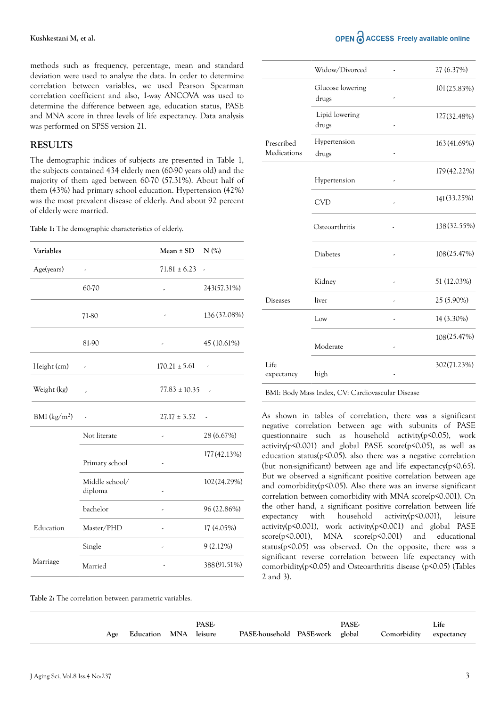methods such as frequency, percentage, mean and standard deviation were used to analyze the data. In order to determine correlation between variables, we used Pearson Spearman correlation coefficient and also, 1-way ANCOVA was used to determine the difference between age, education status, PASE and MNA score in three levels of life expectancy. Data analysis was performed on SPSS version 21.

### **RESULTS**

The demographic indices of subjects are presented in Table 1, the subjects contained 434 elderly men (60-90 years old) and the majority of them aged between 60-70 (57.31%). About half of them (43%) had primary school education. Hypertension (42%) was the most prevalent disease of elderly. And about 92 percent of elderly were married.

**Table 1:** The demographic characteristics of elderly.

| Variables                          |                           | $Mean \pm SD$     | $N$ (%)        |
|------------------------------------|---------------------------|-------------------|----------------|
| Age(years)                         | $\overline{\phantom{a}}$  | $71.81 \pm 6.23$  | $\overline{a}$ |
|                                    | 60-70                     |                   | 243(57.31%)    |
|                                    | 71-80                     |                   | 136 (32.08%)   |
|                                    | 81-90                     |                   | 45 (10.61%)    |
| Height (cm)                        | $\overline{\phantom{a}}$  | $170.21 \pm 5.61$ |                |
| Weight (kg)                        |                           | $77.83 \pm 10.35$ |                |
| BMI $\frac{\text{kg}}{\text{m}^2}$ |                           | $27.17 \pm 3.52$  |                |
|                                    | Not literate              | ,                 | 28 (6.67%)     |
|                                    | Primary school            |                   | 177 (42.13%)   |
|                                    | Middle school/<br>diploma | ,                 | 102 (24.29%)   |
|                                    | bachelor                  | -                 | 96 (22.86%)    |
| Education                          | Master/PHD                | ,                 | 17 (4.05%)     |
|                                    | Single                    | ,                 | $9(2.12\%)$    |
| Marriage                           | Married                   |                   | 388 (91.51%)   |

|                           | Widow/Divorced            |    | 27 (6.37%)   |
|---------------------------|---------------------------|----|--------------|
|                           | Glucose lowering<br>drugs |    | 101 (25.83%) |
|                           | Lipid lowering<br>drugs   |    | 127(32.48%)  |
| Prescribed<br>Medications | Hypertension<br>drugs     |    | 163 (41.69%) |
|                           | Hypertension              |    | 179 (42.22%) |
|                           | <b>CVD</b>                | ,  | 141(33.25%)  |
|                           | Osteoarthritis            |    | 138 (32.55%) |
|                           | Diabetes                  | ,  | 108(25.47%)  |
|                           | Kidney                    |    | 51 (12.03%)  |
| <b>Diseases</b>           | liver                     | J. | 25 (5.90%)   |
|                           | Low                       |    | 14 (3.30%)   |
|                           | Moderate                  |    | 108(25.47%)  |
| Life<br>expectancy        | high                      |    | 302(71.23%)  |

BMI: Body Mass Index, CV: Cardiovascular Disease

As shown in tables of correlation, there was a significant negative correlation between age with subunits of PASE questionnaire such as household activity(p<0.05), work activity( $p$ <0.001) and global PASE score( $p$ <0.05), as well as education status(p<0.05). also there was a negative correlation (but non-significant) between age and life expectancy(p<0.65). But we observed a significant positive correlation between age and comorbidity(p<0.05). Also there was an inverse significant correlation between comorbidity with MNA score(p<0.001). On the other hand, a significant positive correlation between life expectancy with household activity(p<0.001), leisure activity(p<0.001), work activity(p<0.001) and global PASE score(p<0.001), MNA score(p<0.001) and educational status(p<0.05) was observed. On the opposite, there was a significant reverse correlation between life expectancy with comorbidity(p<0.05) and Osteoarthritis disease (p<0.05) (Tables 2 and 3).

**Table 2:** The correlation between parametric variables.

|                           | PASE- |                                                        | PASE- | Life |
|---------------------------|-------|--------------------------------------------------------|-------|------|
| Age Education MNA leisure |       | PASE-household PASE-work global Comorbidity expectancy |       |      |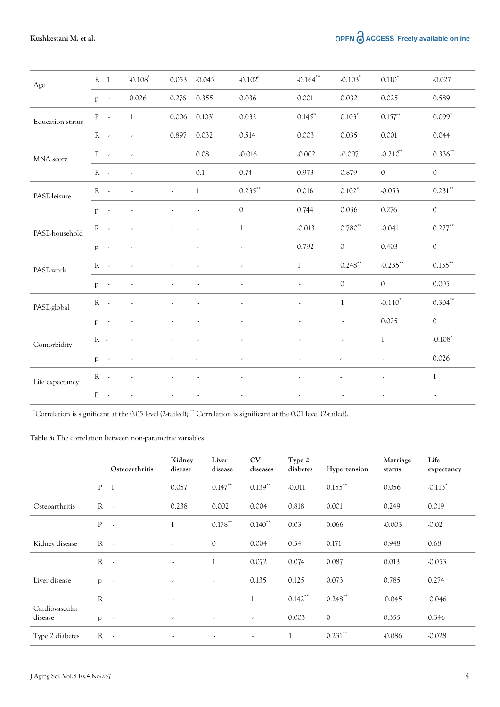OPEN O ACCESS Freely available online

| Age                     | R <sub>1</sub>  |                 | $-0.108$                    | 0.053                                            | $-0.045$                 | $-0.102$ *               | $-0.164$ **              | $-0.103$ <sup>*</sup>    | $0.110*$                 | $-0.027$              |
|-------------------------|-----------------|-----------------|-----------------------------|--------------------------------------------------|--------------------------|--------------------------|--------------------------|--------------------------|--------------------------|-----------------------|
|                         | $p \rightarrow$ |                 | 0.026                       | 0.276                                            | 0.355                    | 0.036                    | 0.001                    | 0.032                    | 0.025                    | 0.589                 |
| <b>Education</b> status | $P -$           |                 | $\mathbf{1}$                | 0.006                                            | $0.103*$                 | 0.032                    | $0.145$ *                | $0.103*$                 | $0.157**$                | $0.099*$              |
|                         | $R -$           |                 | $\sim 100$                  | 0.897                                            | 0.032                    | 0.514                    | 0.003                    | 0.035                    | 0.001                    | 0.044                 |
| MNA score               | $P \sim$        |                 | $\sim 100$                  | $\mathbf{1}$                                     | 0.08                     | $-0.016$                 | $-0.002$                 | $-0.007$                 | $-0.210$ <sup>*</sup>    | $0.336***$            |
|                         | $R - 1$         |                 | $\sim 10^{11}$ km s $^{-1}$ | $\sim$                                           | 0.1                      | 0.74                     | 0.973                    | 0.879                    | $\mathcal{O}$            | $\circ$               |
| PASE-leisure            | $R -$           | <b>Contract</b> |                             | $\omega_{\rm{max}}$                              | $\overline{1}$           | $0.235***$               | 0.016                    | $0.102*$                 | $-0.053$                 | $0.231***$            |
|                         | $p \rightarrow$ |                 |                             |                                                  | $\overline{\phantom{a}}$ | $\mathcal{O}$            | 0.744                    | 0.036                    | 0.276                    | $\mathcal{O}$         |
| PASE-household          | $R -$           |                 | $\overline{\phantom{a}}$    |                                                  |                          | 1                        | $-0.013$                 | $0.780**$                | $-0.041$                 | $0.227***$            |
|                         | $p \rightarrow$ |                 |                             |                                                  |                          |                          | 0.792                    | $\circ$                  | 0.403                    | $\circ$               |
| PASE-work               | $R -$           |                 |                             |                                                  |                          |                          | $\mathbf{1}$             | $0.248***$               | $-0.235***$              | $0.135***$            |
|                         | $p \rightarrow$ |                 | ä,                          |                                                  | $\overline{a}$           | $\overline{\phantom{a}}$ | $\overline{\phantom{a}}$ | $\mathbb O$              | $\circ$                  | 0.005                 |
| PASE-global             | $R -$           |                 | $\omega$                    |                                                  | $\overline{\phantom{a}}$ | $\overline{\phantom{a}}$ | $\overline{\phantom{a}}$ | 1                        | $-0.110*$                | $0.304***$            |
|                         | $p \rightarrow$ |                 |                             |                                                  | $\overline{\phantom{a}}$ | $\overline{\phantom{a}}$ | $\overline{\phantom{a}}$ | $\overline{\phantom{a}}$ | 0.025                    | $\mathcal{O}$         |
| Comorbidity             | $R -$           |                 | $\overline{\phantom{a}}$    | $\overline{\phantom{a}}$                         | $\overline{\phantom{a}}$ | $\overline{\phantom{a}}$ | $\overline{\phantom{a}}$ | $\overline{\phantom{a}}$ | $\mathbf{1}$             | $-0.108$ <sup>*</sup> |
|                         | $p \rightarrow$ |                 |                             | $\overline{\phantom{a}}$                         | $\overline{\phantom{a}}$ | $\overline{\phantom{a}}$ | $\overline{\phantom{a}}$ | $\overline{\phantom{a}}$ | $\overline{a}$           | 0.026                 |
| Life expectancy         |                 |                 | $R \sim 1$                  | $\omega_{\rm{max}}=0.01$ and $\omega_{\rm{max}}$ |                          | $\sim$                   | $\sim$                   | $\sim$                   | $\overline{\phantom{a}}$ | $\mathbf{1}$          |
|                         | $P$ -           |                 | $\overline{\phantom{a}}$    |                                                  | ÷,                       |                          |                          |                          |                          |                       |
|                         |                 |                 |                             |                                                  |                          |                          |                          |                          |                          |                       |

\*Correlation is significant at the 0.05 level (2-tailed); \*\* Correlation is significant at the 0.01 level (2-tailed).

**Table 3:** The correlation between non-parametric variables.

|                           |              | Osteoarthritis | Kidney<br>disease        | Liver<br>disease         | <b>CV</b><br>diseases    | Type 2<br>diabetes | Hypertension  | Marriage<br>status | Life<br>expectancy    |
|---------------------------|--------------|----------------|--------------------------|--------------------------|--------------------------|--------------------|---------------|--------------------|-----------------------|
|                           | P            | $\overline{1}$ | 0.057                    | $0.147***$               | $0.139***$               | $-0.011$           | $0.155***$    | 0.056              | $-0.113$ <sup>*</sup> |
| Osteoarthritis            | $R - 2$      |                | 0.238                    | 0.002                    | 0.004                    | 0.818              | 0.001         | 0.249              | 0.019                 |
|                           | P            | $\sim$         |                          | $0.178$ **               | $0.140$ **               | 0.03               | 0.066         | $-0.003$           | $-0.02$               |
| Kidney disease            | $R -$        |                | $\overline{\phantom{a}}$ | $\mathcal{O}$            | 0.004                    | 0.54               | 0.171         | 0.948              | 0.68                  |
|                           | $R - 1$      |                | $\overline{\phantom{a}}$ | $\mathbf{1}$             | 0.072                    | 0.074              | 0.087         | 0.013              | $-0.053$              |
| Liver disease             | $\mathbf{p}$ | $\sim$         | $\overline{\phantom{a}}$ | $\overline{\phantom{a}}$ | 0.135                    | 0.125              | 0.073         | 0.785              | 0.274                 |
|                           | $R - 1$      |                | $\overline{\phantom{a}}$ | $\overline{\phantom{a}}$ | $\mathbf{1}$             | $0.142***$         | $0.248***$    | $-0.045$           | $-0.046$              |
| Cardiovascular<br>disease | p            | $\sim$         | $\overline{\phantom{a}}$ | $\overline{\phantom{a}}$ | $\overline{\phantom{a}}$ | 0.003              | $\mathcal{O}$ | 0.355              | 0.346                 |
| Type 2 diabetes           | $R -$        |                | $\overline{\phantom{a}}$ | $\overline{\phantom{a}}$ | $\overline{\phantom{a}}$ | 1                  | $0.231***$    | $-0.086$           | $-0.028$              |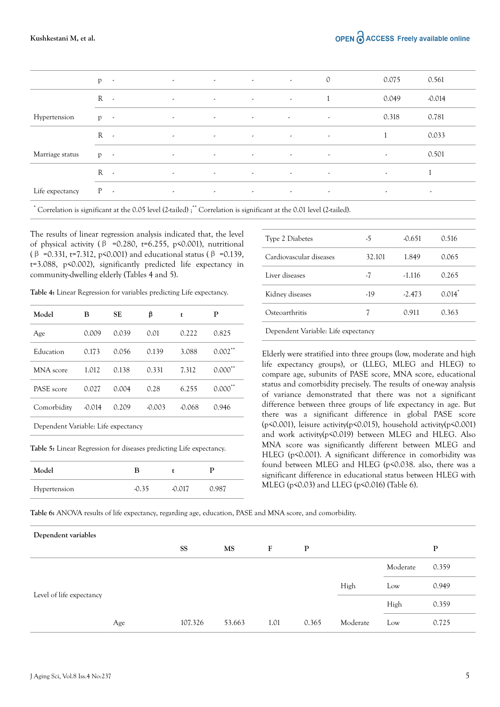|                 | p<br>$\sim$ $\sim$ | $\overline{\phantom{a}}$ | $\sim$                   | $\sim$                   | $\overline{\phantom{a}}$         | $\mathcal{O}$            | 0.075                    | 0.561                    |
|-----------------|--------------------|--------------------------|--------------------------|--------------------------|----------------------------------|--------------------------|--------------------------|--------------------------|
|                 | $R -$              | $\overline{\phantom{a}}$ | $\sim$                   | $\sim$                   | $\sim$                           |                          | 0.049                    | $-0.014$                 |
| Hypertension    | $p \rightarrow$    | $\sim$                   | $\sim$                   | $\sim$                   | $\overline{\phantom{a}}$         | $\overline{\phantom{a}}$ | 0.318                    | 0.781                    |
|                 | $R - 1$            | $\overline{\phantom{a}}$ | $\sim$                   | $\sim$                   | $\sim$                           | $\overline{\phantom{a}}$ |                          | 0.033                    |
| Marriage status | $p \rightarrow$    | $\overline{\phantom{a}}$ | $\overline{\phantom{a}}$ | $\overline{\phantom{a}}$ | $\sim$                           | $\overline{\phantom{a}}$ | $\overline{\phantom{a}}$ | 0.501                    |
|                 | $R -$              | $\overline{\phantom{a}}$ | $\sim$                   | $\overline{\phantom{a}}$ | <b>Contract Contract Service</b> | $\sim$                   | $\epsilon$               |                          |
| Life expectancy | $P -$              | $\overline{\phantom{a}}$ | $\sim$                   | $\overline{\phantom{a}}$ | $\sim$                           | $\sim$                   | $\overline{\phantom{a}}$ | $\overline{\phantom{a}}$ |
|                 |                    |                          |                          |                          |                                  |                          |                          |                          |

\* Correlation is significant at the 0.05 level (2-tailed) ;\*\* Correlation is significant at the 0.01 level (2-tailed).

The results of linear regression analysis indicated that, the level of physical activity ( $\beta$  =0.280, t=6.255, p<0.001), nutritional ( $\beta$  =0.331, t=7.312, p<0.001) and educational status ( $\beta$  =0.139, t=3.088, p<0.002), significantly predicted life expectancy in community-dwelling elderly (Tables 4 and 5).

**Table 4:** Linear Regression for variables predicting Life expectancy.

| Model                               | в        | SE    | β        | t        | P                     |
|-------------------------------------|----------|-------|----------|----------|-----------------------|
| Age                                 | 0.009    | 0.039 | 0.01     | 0.222    | 0.825                 |
| Education                           | 0.173    | 0.056 | 0.139    | 3.088    | $0.002$ <sup>**</sup> |
| MNA score                           | 1.012    | 0.138 | 0.331    | 7.312    | $0.000^{\circ}$       |
| PASE score                          | 0.027    | 0.004 | 0.28     | 6.255    | $0.000^{\circ}$       |
| Comorbidity                         | $-0.014$ | 0.209 | $-0.003$ | $-0.068$ | 0.946                 |
| Dependent Variable: Life expectancy |          |       |          |          |                       |
|                                     |          |       |          |          |                       |

**Table 5:** Linear Regression for diseases predicting Life expectancy.

| Model        | В     |        |       |
|--------------|-------|--------|-------|
| Hypertension | -0.35 | -0.017 | 0.987 |

| Type 2 Diabetes         | -5     | $-0.651$ | 0.516     |
|-------------------------|--------|----------|-----------|
| Cardiovascular diseases | 32.101 | 1.849    | 0.065     |
| Liver diseases          | -7     | $-1.116$ | 0.265     |
| Kidney diseases         | $-19$  | $-2.473$ | $0.014^*$ |
| Osteoarthritis          |        | 0.911    | 0.363     |
|                         |        |          |           |

Dependent Variable: Life expectancy

Elderly were stratified into three groups (low, moderate and high life expectancy groups), or (LLEG, MLEG and HLEG) to compare age, subunits of PASE score, MNA score, educational status and comorbidity precisely. The results of one-way analysis of variance demonstrated that there was not a significant difference between three groups of life expectancy in age. But there was a significant difference in global PASE score (p<0.001), leisure activity(p<0.015), household activity(p<0.001) and work activity(p<0.019) between MLEG and HLEG. Also MNA score was significantly different between MLEG and HLEG (p<0.001). A significant difference in comorbidity was found between MLEG and HLEG (p<0.038. also, there was a significant difference in educational status between HLEG with MLEG (p<0.03) and LLEG (p<0.016) (Table 6).

**Table 6:** ANOVA results of life expectancy, regarding age, education, PASE and MNA score, and comorbidity.

| Dependent variables      |     |           |           |      |              |          |          |              |
|--------------------------|-----|-----------|-----------|------|--------------|----------|----------|--------------|
|                          |     | <b>SS</b> | <b>MS</b> | F    | $\mathbf{P}$ |          |          | $\mathbf{P}$ |
|                          |     |           |           |      |              |          | Moderate | 0.359        |
|                          |     |           |           |      |              | High     | Low      | 0.949        |
| Level of life expectancy |     |           |           |      |              |          | High     | 0.359        |
|                          | Age | 107.326   | 53.663    | 1.01 | 0.365        | Moderate | Low      | 0.725        |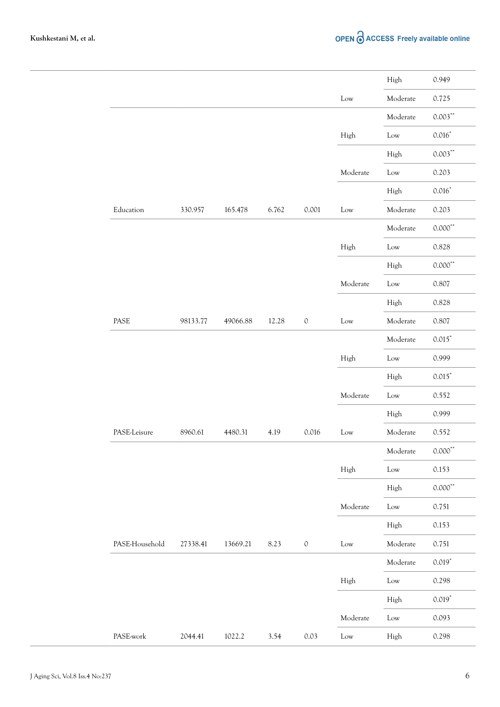|                |          |          |       |             |          | High     | 0.949             |
|----------------|----------|----------|-------|-------------|----------|----------|-------------------|
|                |          |          |       |             | Low      | Moderate | 0.725             |
|                |          |          |       |             |          | Moderate | $0.003\sp{^\ast}$ |
|                |          |          |       |             | High     | Low      | $0.016*$          |
|                |          |          |       |             |          | High     | $0.003***$        |
|                |          |          |       |             | Moderate | Low      | 0.203             |
|                |          |          |       |             |          | High     | $0.016*$          |
| Education      | 330.957  | 165.478  | 6.762 | 0.001       | Low      | Moderate | 0.203             |
|                |          |          |       |             |          | Moderate | $0.000**$         |
|                |          |          |       |             | High     | Low      | 0.828             |
|                |          |          |       |             |          | High     | $0.000**$         |
|                |          |          |       |             | Moderate | Low      | 0.807             |
|                |          |          |       |             |          | High     | 0.828             |
| PASE           | 98133.77 | 49066.88 | 12.28 | $\mathbb O$ | Low      | Moderate | 0.807             |
|                |          |          |       |             |          | Moderate | $0.015*$          |
|                |          |          |       |             | High     | Low      | 0.999             |
|                |          |          |       |             |          | High     | $0.015*$          |
|                |          |          |       |             | Moderate | Low      | 0.552             |
|                |          |          |       |             |          | High     | 0.999             |
| PASE-Leisure   | 8960.61  | 4480.31  | 4.19  | 0.016       | Low      | Moderate | 0.552             |
|                |          |          |       |             |          | Moderate | $0.000***$        |
|                |          |          |       |             | High     | Low      | 0.153             |
|                |          |          |       |             |          | High     | $0.000**$         |
|                |          |          |       |             | Moderate | Low      | 0.751             |
|                |          |          |       |             |          | High     | 0.153             |
| PASE-Household | 27338.41 | 13669.21 | 8.23  | $\mathbb O$ | Low      | Moderate | 0.751             |
|                |          |          |       |             |          | Moderate | $0.019*$          |
|                |          |          |       |             | High     | Low      | 0.298             |
|                |          |          |       |             |          | High     | $0.019*$          |
|                |          |          |       |             |          |          | 0.093             |
|                |          |          |       |             | Moderate | Low      |                   |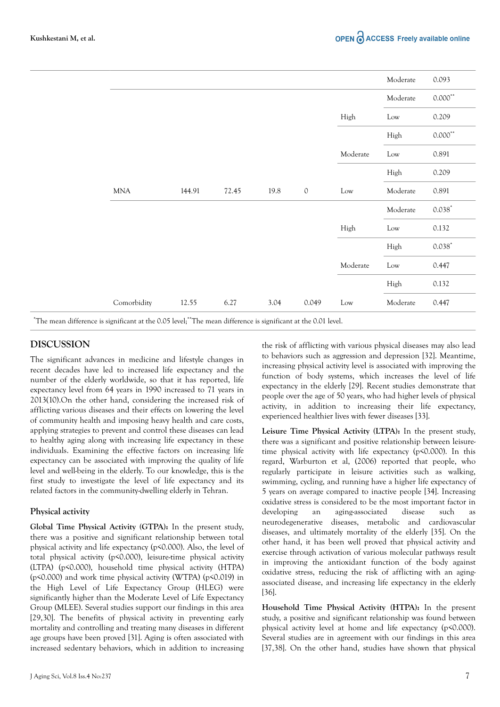|             |        |       |      |             |          | Moderate        | 0.093                                    |
|-------------|--------|-------|------|-------------|----------|-----------------|------------------------------------------|
|             |        |       |      |             |          | Moderate        | $0.000^{**}$                             |
|             |        |       |      |             | High     | $_{\text{Low}}$ | 0.209                                    |
|             |        |       |      |             |          | High            | $0.000$ $\hspace{-1.5mm}^{\prime\prime}$ |
|             |        |       |      |             | Moderate | Low             | 0.891                                    |
|             |        |       |      |             |          | High            | 0.209                                    |
| <b>MNA</b>  | 144.91 | 72.45 | 19.8 | $\mathbb O$ | Low      | Moderate        | 0.891                                    |
|             |        |       |      |             |          | Moderate        | $0.038*$                                 |
|             |        |       |      |             | High     | Low             | 0.132                                    |
|             |        |       |      |             |          | High            | $0.038*$                                 |
|             |        |       |      |             | Moderate | Low             | 0.447                                    |
|             |        |       |      |             |          | High            | 0.132                                    |
| Comorbidity | 12.55  | 6.27  | 3.04 | 0.049       | Low      | Moderate        | 0.447                                    |

\*The mean difference is significant at the 0.05 level;\*\*The mean difference is significant at the 0.01 level.

### **DISCUSSION**

The significant advances in medicine and lifestyle changes in recent decades have led to increased life expectancy and the number of the elderly worldwide, so that it has reported, life expectancy level from 64 years in 1990 increased to 71 years in 2013(10).On the other hand, considering the increased risk of afflicting various diseases and their effects on lowering the level of community health and imposing heavy health and care costs, applying strategies to prevent and control these diseases can lead to healthy aging along with increasing life expectancy in these individuals. Examining the effective factors on increasing life expectancy can be associated with improving the quality of life level and well-being in the elderly. To our knowledge, this is the first study to investigate the level of life expectancy and its related factors in the community-dwelling elderly in Tehran.

#### **Physical activity**

**Global Time Physical Activity (GTPA):** In the present study, there was a positive and significant relationship between total physical activity and life expectancy (p<0.000). Also, the level of total physical activity (p<0.000), leisure-time physical activity (LTPA) (p<0.000), household time physical activity (HTPA) (p<0.000) and work time physical activity (WTPA) (p<0.019) in the High Level of Life Expectancy Group (HLEG) were significantly higher than the Moderate Level of Life Expectancy Group (MLEE). Several studies support our findings in this area [29,30]. The benefits of physical activity in preventing early mortality and controlling and treating many diseases in different age groups have been proved [31]. Aging is often associated with increased sedentary behaviors, which in addition to increasing the risk of afflicting with various physical diseases may also lead to behaviors such as aggression and depression [32]. Meantime, increasing physical activity level is associated with improving the function of body systems, which increases the level of life expectancy in the elderly [29]. Recent studies demonstrate that people over the age of 50 years, who had higher levels of physical activity, in addition to increasing their life expectancy, experienced healthier lives with fewer diseases [33].

**Leisure Time Physical Activity (LTPA):** In the present study, there was a significant and positive relationship between leisuretime physical activity with life expectancy (p<0.000). In this regard, Warburton et al, (2006) reported that people, who regularly participate in leisure activities such as walking, swimming, cycling, and running have a higher life expectancy of 5 years on average compared to inactive people [34]. Increasing oxidative stress is considered to be the most important factor in developing an aging-associated disease such as neurodegenerative diseases, metabolic and cardiovascular diseases, and ultimately mortality of the elderly [35]. On the other hand, it has been well proved that physical activity and exercise through activation of various molecular pathways result in improving the antioxidant function of the body against oxidative stress, reducing the risk of afflicting with an agingassociated disease, and increasing life expectancy in the elderly [36].

**Household Time Physical Activity (HTPA):** In the present study, a positive and significant relationship was found between physical activity level at home and life expectancy (p<0.000). Several studies are in agreement with our findings in this area [37,38]. On the other hand, studies have shown that physical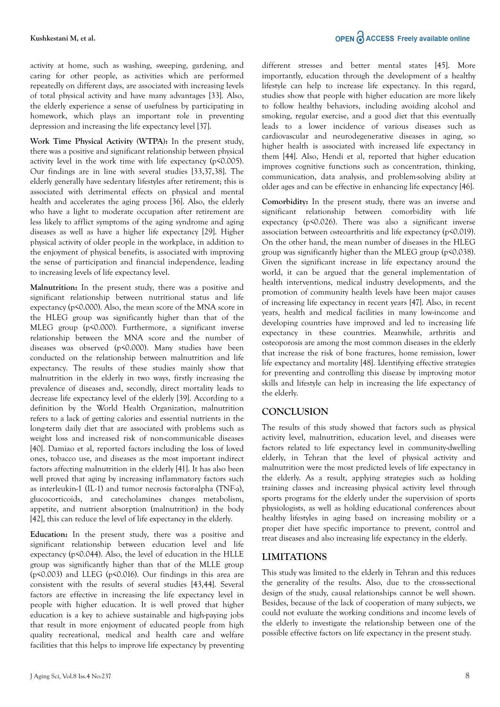activity at home, such as washing, sweeping, gardening, and caring for other people, as activities which are performed repeatedly on different days, are associated with increasing levels of total physical activity and have many advantages [33]. Also, the elderly experience a sense of usefulness by participating in homework, which plays an important role in preventing depression and increasing the life expectancy level [37].

**Work Time Physical Activity (WTPA):** In the present study, there was a positive and significant relationship between physical activity level in the work time with life expectancy (p<0.005). Our findings are in line with several studies [33,37,38]. The elderly generally have sedentary lifestyles after retirement; this is associated with detrimental effects on physical and mental health and accelerates the aging process [36]. Also, the elderly who have a light to moderate occupation after retirement are less likely to afflict symptoms of the aging syndrome and aging diseases as well as have a higher life expectancy [29]. Higher physical activity of older people in the workplace, in addition to the enjoyment of physical benefits, is associated with improving the sense of participation and financial independence, leading to increasing levels of life expectancy level.

**Malnutrition:** In the present study, there was a positive and significant relationship between nutritional status and life expectancy (p<0.000). Also, the mean score of the MNA score in the HLEG group was significantly higher than that of the MLEG group (p<0.000). Furthermore, a significant inverse relationship between the MNA score and the number of diseases was observed (p<0.000). Many studies have been conducted on the relationship between malnutrition and life expectancy. The results of these studies mainly show that malnutrition in the elderly in two ways, firstly increasing the prevalence of diseases and, secondly, direct mortality leads to decrease life expectancy level of the elderly [39]. According to a definition by the World Health Organization, malnutrition refers to a lack of getting calories and essential nutrients in the long-term daily diet that are associated with problems such as weight loss and increased risk of non-communicable diseases [40]. Damiao et al, reported factors including the loss of loved ones, tobacco use, and diseases as the most important indirect factors affecting malnutrition in the elderly [41]. It has also been well proved that aging by increasing inflammatory factors such as interleukin-1 (IL-1) and tumor necrosis factor-alpha (TNF-a), glucocorticoids, and catecholamines changes metabolism, appetite, and nutrient absorption (malnutrition) in the body [42], this can reduce the level of life expectancy in the elderly.

**Education:** In the present study, there was a positive and significant relationship between education level and life expectancy (p<0.044). Also, the level of education in the HLLE group was significantly higher than that of the MLLE group ( $p \le 0.003$ ) and LLEG ( $p \le 0.016$ ). Our findings in this area are consistent with the results of several studies [43,44]. Several factors are effective in increasing the life expectancy level in people with higher education. It is well proved that higher education is a key to achieve sustainable and high-paying jobs that result in more enjoyment of educated people from high quality recreational, medical and health care and welfare facilities that this helps to improve life expectancy by preventing different stresses and better mental states [45]. More importantly, education through the development of a healthy lifestyle can help to increase life expectancy. In this regard, studies show that people with higher education are more likely to follow healthy behaviors, including avoiding alcohol and smoking, regular exercise, and a good diet that this eventually leads to a lower incidence of various diseases such as cardiovascular and neurodegenerative diseases in aging, so higher health is associated with increased life expectancy in them [44]. Also, Hendi et al, reported that higher education improves cognitive functions such as concentration, thinking, communication, data analysis, and problem-solving ability at older ages and can be effective in enhancing life expectancy [46].

**Comorbidity:** In the present study, there was an inverse and significant relationship between comorbidity with life expectancy (p<0.026). There was also a significant inverse association between osteoarthritis and life expectancy (p<0.019). On the other hand, the mean number of diseases in the HLEG group was significantly higher than the MLEG group (p<0.038). Given the significant increase in life expectancy around the world, it can be argued that the general implementation of health interventions, medical industry developments, and the promotion of community health levels have been major causes of increasing life expectancy in recent years [47]. Also, in recent years, health and medical facilities in many low-income and developing countries have improved and led to increasing life expectancy in these countries. Meanwhile, arthritis and osteoporosis are among the most common diseases in the elderly that increase the risk of bone fractures, home remission, lower life expectancy and mortality [48]. Identifying effective strategies for preventing and controlling this disease by improving motor skills and lifestyle can help in increasing the life expectancy of the elderly.

## **CONCLUSION**

The results of this study showed that factors such as physical activity level, malnutrition, education level, and diseases were factors related to life expectancy level in community-dwelling elderly, in Tehran that the level of physical activity and malnutrition were the most predicted levels of life expectancy in the elderly. As a result, applying strategies such as holding training classes and increasing physical activity level through sports programs for the elderly under the supervision of sports physiologists, as well as holding educational conferences about healthy lifestyles in aging based on increasing mobility or a proper diet have specific importance to prevent, control and treat diseases and also increasing life expectancy in the elderly.

## **LIMITATIONS**

This study was limited to the elderly in Tehran and this reduces the generality of the results. Also, due to the cross-sectional design of the study, causal relationships cannot be well shown. Besides, because of the lack of cooperation of many subjects, we could not evaluate the working conditions and income levels of the elderly to investigate the relationship between one of the possible effective factors on life expectancy in the present study.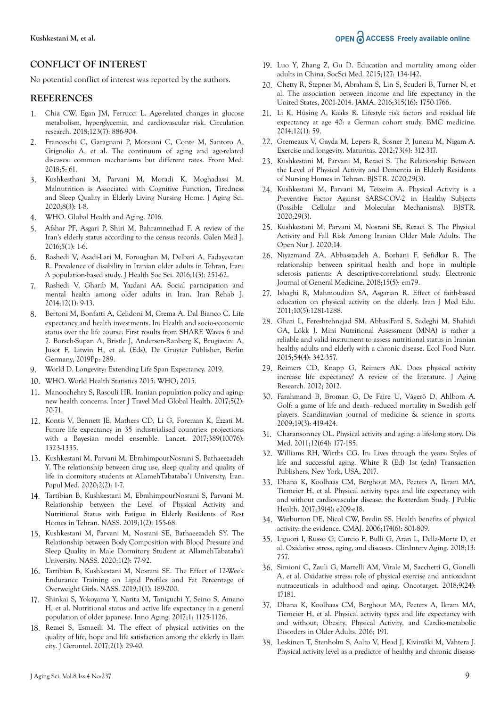### **CONFLICT OF INTEREST**

No potential conflict of interest was reported by the authors.

#### **REFERENCES**

- 1. Chia CW, Egan JM, Ferrucci L. Age-related changes in glucose metabolism, hyperglycemia, and cardiovascular risk. Circulation research. 2018;123(7): 886-904.
- 2. Franceschi C, Garagnani P, Morsiani C, Conte M, Santoro A, Grignolio A, et al. The continuum of aging and age-related diseases: common mechanisms but different rates. Front Med. 2018;5: 61.
- 3. Kushkesthani M, Parvani M, Moradi K, Moghadassi M. Malnutrition is Associated with Cognitive Function, Tiredness and Sleep Quality in Elderly Living Nursing Home. J Aging Sci. 2020;8(3): 1-8.
- 4. WHO. Global Health and Aging. 2016.
- 5. Afshar PF, Asgari P, Shiri M, Bahramnezhad F. A review of the Iran's elderly status according to the census records. Galen Med J. 2016;5(1): 1-6.
- 6. Rashedi V, Asadi-Lari M, Foroughan M, Delbari A, Fadayevatan R. Prevalence of disability in Iranian older adults in Tehran, Iran: A population-based study. J Health Soc Sci. 2016;1(3): 251-62.
- 7. Rashedi V, Gharib M, Yazdani AA. Social participation and mental health among older adults in Iran. Iran Rehab J. 2014;12(1): 9-13.
- 8. Bertoni M, Bonfatti A, Celidoni M, Crema A, Dal Bianco C. Life expectancy and health investments. In: Health and socio-economic status over the life course: First results from SHARE Waves 6 and 7. Borsch-Supan A, Bristle J, Andersen-Ranberg K, Brugiavini A, Jusot F, Litwin H, et al. (Eds), De Gruyter Publisher, Berlin Germany, 2019Pp: 289.
- 9. World D. Longevity: Extending Life Span Expectancy. 2019.
- 10. WHO. World Health Statistics 2015: WHO; 2015.
- 11. Manoochehry S, Rasouli HR. Iranian population policy and aging: new health concerns. Inter J Travel Med Global Health. 2017;5(2): 70-71.
- 12. Kontis V, Bennett JE, Mathers CD, Li G, Foreman K, Ezzati M. Future life expectancy in 35 industrialised countries: projections with a Bayesian model ensemble. Lancet. 2017;389(10076): 1323-1335.
- 13. Kushkestani M, Parvani M, EbrahimpourNosrani S, Bathaeezadeh Y. The relationship between drug use, sleep quality and quality of life in dormitory students at AllamehTabataba'i University, Iran. Popul Med. 2020;2(2): 1-7.
- 14. Tartibian B, Kushkestani M, EbrahimpourNosrani S, Parvani M. Relationship between the Level of Physical Activity and Nutritional Status with Fatigue in Elderly Residents of Rest Homes in Tehran. NASS. 2019;1(2): 155-68.
- 15. Kushkestani M, Parvani M, Nosrani SE, Bathaeezadeh SY. The Relationship between Body Composition with Blood Pressure and Sleep Quality in Male Dormitory Student at AllamehTabataba'i University. NASS. 2020;1(2): 77-92.
- 16. Tartibian B, Kushkestani M, Nosrani SE. The Effect of 12-Week Endurance Training on Lipid Profiles and Fat Percentage of Overweight Girls. NASS. 2019;1(1): 189-200.
- 17. Shinkai S, Yokoyama Y, Narita M, Taniguchi Y, Seino S, Amano H, et al. Nutritional status and active life expectancy in a general population of older japanese. Inno Aging. 2017;1: 1125-1126.
- 18. Rezaei S, Esmaeili M. The effect of physical activities on the quality of life, hope and life satisfaction among the elderly in Ilam city. J Gerontol. 2017;2(1): 29-40.
- 19. Luo Y, Zhang Z, Gu D. Education and mortality among older adults in China. SocSci Med. 2015;127: 134-142.
- 20. Chetty R, Stepner M, Abraham S, Lin S, Scuderi B, Turner N, et al. The association between income and life expectancy in the United States, 2001-2014. JAMA. 2016;315(16): 1750-1766.
- 21. Li K, Hüsing A, Kaaks R. Lifestyle risk factors and residual life expectancy at age 40: a German cohort study. BMC medicine. 2014;12(1): 59.
- 22. Gremeaux V, Gayda M, Lepers R, Sosner P, Juneau M, Nigam A. Exercise and longevity. Maturitas. 2012;73(4): 312-317.
- 23. Kushkestani M, Parvani M, Rezaei S. The Relationship Between the Level of Physical Activity and Dementia in Elderly Residents of Nursing Homes in Tehran. BJSTR. 2020;29(3).
- 24. Kushkestani M, Parvani M, Teixeira A. Physical Activity is a Preventive Factor Against SARS-COV-2 in Healthy Subjects (Possible Cellular and Molecular Mechanisms). BJSTR. 2020;29(3).
- 25. Kushkestani M, Parvani M, Nosrani SE, Rezaei S. The Physical Activity and Fall Risk Among Iranian Older Male Adults. The Open Nur J. 2020;14.
- 26. Niyazmand ZA, Abbasszadeh A, Borhani F, Sefidkar R. The relationship between spiritual health and hope in multiple sclerosis patients: A descriptive-correlational study. Electronic Journal of General Medicine. 2018;15(5): em79.
- 27. Ishaghi R, Mahmoudian SA, Asgarian R. Effect of faith-based education on physical activity on the elderly. Iran J Med Edu. 2011;10(5):1281-1288.
- 28. Ghazi L, Fereshtehnejad SM, AbbasiFard S, Sadeghi M, Shahidi GA, Lökk J. Mini Nutritional Assessment (MNA) is rather a reliable and valid instrument to assess nutritional status in Iranian healthy adults and elderly with a chronic disease. Ecol Food Nutr. 2015;54(4): 342-357.
- 29. Reimers CD, Knapp G, Reimers AK. Does physical activity increase life expectancy? A review of the literature. J Aging Research. 2012; 2012.
- 30. Farahmand B, Broman G, De Faire U, Vågerö D, Ahlbom A. Golf: a game of life and death–reduced mortality in Swedish golf players. Scandinavian journal of medicine & science in sports. 2009;19(3): 419-424.
- 31. Charansonney OL. Physical activity and aging: a life-long story. Dis Med. 2011;12(64): 177-185.
- 32. Williams RH, Wirths CG. In: Lives through the years: Styles of life and successful aging. White R (Ed) 1st (edn) Transaction Publishers, New York, USA, 2017.
- 33. Dhana K, Koolhaas CM, Berghout MA, Peeters A, Ikram MA, Tiemeier H, et al. Physical activity types and life expectancy with and without cardiovascular disease: the Rotterdam Study. J Public Health. 2017;39(4): e209-e18.
- 34. Warburton DE, Nicol CW, Bredin SS. Health benefits of physical activity: the evidence. CMAJ. 2006;174(6): 801-809.
- 35. Liguori I, Russo G, Curcio F, Bulli G, Aran L, Della-Morte D, et al. Oxidative stress, aging, and diseases. ClinInterv Aging. 2018;13: 757.
- 36. Simioni C, Zauli G, Martelli AM, Vitale M, Sacchetti G, Gonelli A, et al. Oxidative stress: role of physical exercise and antioxidant nutraceuticals in adulthood and aging. Oncotarget. 2018;9(24): 17181.
- 37. Dhana K, Koolhaas CM, Berghout MA, Peeters A, Ikram MA, Tiemeier H, et al. Physical activity types and life expectancy with and without; Obesity, Physical Activity, and Cardio-metabolic Disorders in Older Adults. 2016; 191.
- 38. Leskinen T, Stenholm S, Aalto V, Head J, Kivimäki M, Vahtera J. Physical activity level as a predictor of healthy and chronic disease-